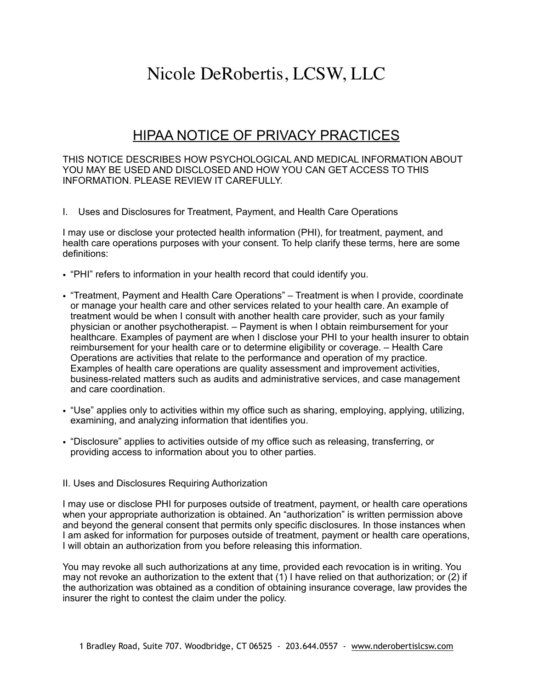# Nicole DeRobertis, LCSW, LLC

## HIPAA NOTICE OF PRIVACY PRACTICES

THIS NOTICE DESCRIBES HOW PSYCHOLOGICAL AND MEDICAL INFORMATION ABOUT YOU MAY BE USED AND DISCLOSED AND HOW YOU CAN GET ACCESS TO THIS INFORMATION. PLEASE REVIEW IT CAREFULLY.

I. Uses and Disclosures for Treatment, Payment, and Health Care Operations

I may use or disclose your protected health information (PHI), for treatment, payment, and health care operations purposes with your consent. To help clarify these terms, here are some definitions:

- "PHI" refers to information in your health record that could identify you.
- "Treatment, Payment and Health Care Operations" Treatment is when I provide, coordinate or manage your health care and other services related to your health care. An example of treatment would be when I consult with another health care provider, such as your family physician or another psychotherapist. – Payment is when I obtain reimbursement for your healthcare. Examples of payment are when I disclose your PHI to your health insurer to obtain reimbursement for your health care or to determine eligibility or coverage. – Health Care Operations are activities that relate to the performance and operation of my practice. Examples of health care operations are quality assessment and improvement activities, business-related matters such as audits and administrative services, and case management and care coordination.
- "Use" applies only to activities within my office such as sharing, employing, applying, utilizing, examining, and analyzing information that identifies you.
- "Disclosure" applies to activities outside of my office such as releasing, transferring, or providing access to information about you to other parties.
- II. Uses and Disclosures Requiring Authorization

I may use or disclose PHI for purposes outside of treatment, payment, or health care operations when your appropriate authorization is obtained. An "authorization" is written permission above and beyond the general consent that permits only specific disclosures. In those instances when I am asked for information for purposes outside of treatment, payment or health care operations, I will obtain an authorization from you before releasing this information.

You may revoke all such authorizations at any time, provided each revocation is in writing. You may not revoke an authorization to the extent that (1) I have relied on that authorization; or (2) if the authorization was obtained as a condition of obtaining insurance coverage, law provides the insurer the right to contest the claim under the policy.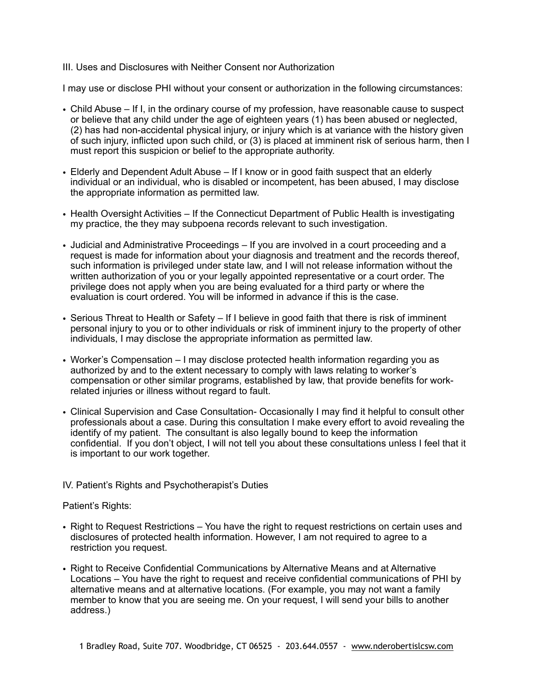#### III. Uses and Disclosures with Neither Consent nor Authorization

I may use or disclose PHI without your consent or authorization in the following circumstances:

- Child Abuse If I, in the ordinary course of my profession, have reasonable cause to suspect or believe that any child under the age of eighteen years (1) has been abused or neglected, (2) has had non-accidental physical injury, or injury which is at variance with the history given of such injury, inflicted upon such child, or (3) is placed at imminent risk of serious harm, then I must report this suspicion or belief to the appropriate authority.
- Elderly and Dependent Adult Abuse If I know or in good faith suspect that an elderly individual or an individual, who is disabled or incompetent, has been abused, I may disclose the appropriate information as permitted law.
- Health Oversight Activities If the Connecticut Department of Public Health is investigating my practice, the they may subpoena records relevant to such investigation.
- Judicial and Administrative Proceedings If you are involved in a court proceeding and a request is made for information about your diagnosis and treatment and the records thereof, such information is privileged under state law, and I will not release information without the written authorization of you or your legally appointed representative or a court order. The privilege does not apply when you are being evaluated for a third party or where the evaluation is court ordered. You will be informed in advance if this is the case.
- Serious Threat to Health or Safety If I believe in good faith that there is risk of imminent personal injury to you or to other individuals or risk of imminent injury to the property of other individuals, I may disclose the appropriate information as permitted law.
- Worker's Compensation I may disclose protected health information regarding you as authorized by and to the extent necessary to comply with laws relating to worker's compensation or other similar programs, established by law, that provide benefits for workrelated injuries or illness without regard to fault.
- Clinical Supervision and Case Consultation- Occasionally I may find it helpful to consult other professionals about a case. During this consultation I make every effort to avoid revealing the identify of my patient. The consultant is also legally bound to keep the information confidential. If you don't object, I will not tell you about these consultations unless I feel that it is important to our work together.

### IV. Patient's Rights and Psychotherapist's Duties

#### Patient's Rights:

- Right to Request Restrictions You have the right to request restrictions on certain uses and disclosures of protected health information. However, I am not required to agree to a restriction you request.
- Right to Receive Confidential Communications by Alternative Means and at Alternative Locations – You have the right to request and receive confidential communications of PHI by alternative means and at alternative locations. (For example, you may not want a family member to know that you are seeing me. On your request, I will send your bills to another address.)